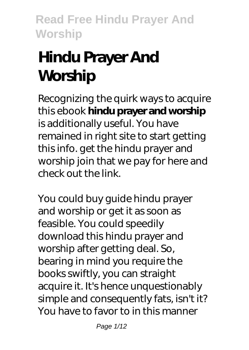# **Hindu Prayer And Worship**

Recognizing the quirk ways to acquire this ebook **hindu prayer and worship** is additionally useful. You have remained in right site to start getting this info. get the hindu prayer and worship join that we pay for here and check out the link.

You could buy guide hindu prayer and worship or get it as soon as feasible. You could speedily download this hindu prayer and worship after getting deal. So, bearing in mind you require the books swiftly, you can straight acquire it. It's hence unquestionably simple and consequently fats, isn't it? You have to favor to in this manner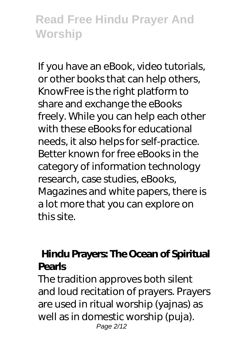If you have an eBook, video tutorials, or other books that can help others, KnowFree is the right platform to share and exchange the eBooks freely. While you can help each other with these eBooks for educational needs, it also helps for self-practice. Better known for free eBooks in the category of information technology research, case studies, eBooks, Magazines and white papers, there is a lot more that you can explore on this site.

## **Hindu Prayers: The Ocean of Spiritual Pearls**

The tradition approves both silent and loud recitation of prayers. Prayers are used in ritual worship (yajnas) as well as in domestic worship (puja). Page 2/12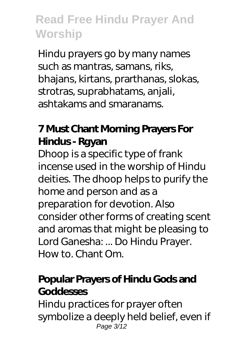Hindu prayers go by many names such as mantras, samans, riks, bhajans, kirtans, prarthanas, slokas, strotras, suprabhatams, anjali, ashtakams and smaranams.

## **7 Must Chant Morning Prayers For Hindus - Rgyan**

Dhoop is a specific type of frank incense used in the worship of Hindu deities. The dhoop helps to purify the home and person and as a preparation for devotion. Also consider other forms of creating scent and aromas that might be pleasing to Lord Ganesha: ... Do Hindu Prayer. How to. Chant Om.

#### **Popular Prayers of Hindu Gods and Goddesses**

Hindu practices for prayer often symbolize a deeply held belief, even if Page 3/12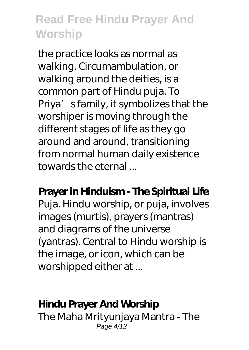the practice looks as normal as walking. Circumambulation, or walking around the deities, is a common part of Hindu puja. To Priya' sfamily, it symbolizes that the worshiper is moving through the different stages of life as they go around and around, transitioning from normal human daily existence towards the eternal ...

**Prayer in Hinduism - The Spiritual Life** Puja. Hindu worship, or puja, involves images (murtis), prayers (mantras) and diagrams of the universe (yantras). Central to Hindu worship is the image, or icon, which can be worshipped either at ...

#### **Hindu Prayer And Worship**

The Maha Mrityunjaya Mantra - The Page 4/12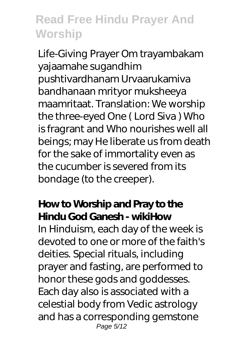Life-Giving Prayer Om trayambakam yajaamahe sugandhim pushtivardhanam Urvaarukamiva bandhanaan mrityor muksheeya maamritaat. Translation: We worship the three-eyed One ( Lord Siva ) Who is fragrant and Who nourishes well all beings; may He liberate us from death for the sake of immortality even as the cucumber is severed from its bondage (to the creeper).

### **How to Worship and Pray to the Hindu God Ganesh - wikiHow**

In Hinduism, each day of the week is devoted to one or more of the faith's deities. Special rituals, including prayer and fasting, are performed to honor these gods and goddesses. Each day also is associated with a celestial body from Vedic astrology and has a corresponding gemstone Page 5/12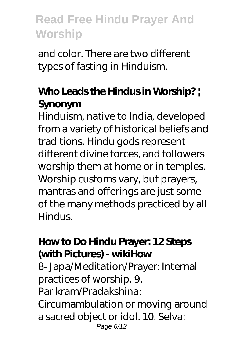and color. There are two different types of fasting in Hinduism.

## **Who Leads the Hindus in Worship? | Synonym**

Hinduism, native to India, developed from a variety of historical beliefs and traditions. Hindu gods represent different divine forces, and followers worship them at home or in temples. Worship customs vary, but prayers, mantras and offerings are just some of the many methods practiced by all Hindus.

#### **How to Do Hindu Prayer: 12 Steps (with Pictures) - wikiHow**

8- Japa/Meditation/Prayer: Internal practices of worship. 9. Parikram/Pradakshina: Circumambulation or moving around a sacred object or idol. 10. Selva: Page 6/12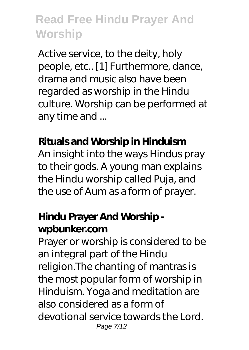Active service, to the deity, holy people, etc.. [1] Furthermore, dance, drama and music also have been regarded as worship in the Hindu culture. Worship can be performed at any time and ...

#### **Rituals and Worship in Hinduism**

An insight into the ways Hindus pray to their gods. A young man explains the Hindu worship called Puja, and the use of Aum as a form of prayer.

### **Hindu Prayer And Worship wpbunker.com**

Prayer or worship is considered to be an integral part of the Hindu religion.The chanting of mantras is the most popular form of worship in Hinduism. Yoga and meditation are also considered as a form of devotional service towards the Lord. Page 7/12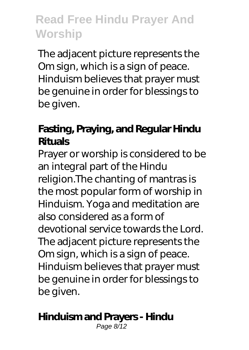The adjacent picture represents the Om sign, which is a sign of peace. Hinduism believes that prayer must be genuine in order for blessings to be given.

## **Fasting, Praying, and Regular Hindu Rituals**

Prayer or worship is considered to be an integral part of the Hindu religion.The chanting of mantras is the most popular form of worship in Hinduism. Yoga and meditation are also considered as a form of devotional service towards the Lord. The adjacent picture represents the Om sign, which is a sign of peace. Hinduism believes that prayer must be genuine in order for blessings to be given.

#### **Hinduism and Prayers - Hindu**

Page 8/12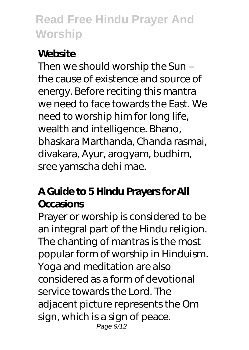## **Website**

Then we should worship the Sun – the cause of existence and source of energy. Before reciting this mantra we need to face towards the East. We need to worship him for long life, wealth and intelligence. Bhano, bhaskara Marthanda, Chanda rasmai, divakara, Ayur, arogyam, budhim, sree yamscha dehi mae.

## **A Guide to 5 Hindu Prayers for All Occasions**

Prayer or worship is considered to be an integral part of the Hindu religion. The chanting of mantras is the most popular form of worship in Hinduism. Yoga and meditation are also considered as a form of devotional service towards the Lord. The adjacent picture represents the Om sign, which is a sign of peace. Page 9/12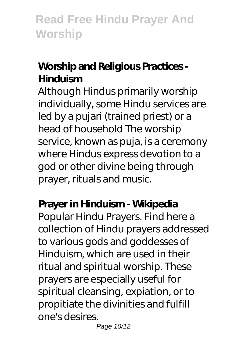# **Worship and Religious Practices - Hinduism**

Although Hindus primarily worship individually, some Hindu services are led by a pujari (trained priest) or a head of household The worship service, known as puja, is a ceremony where Hindus express devotion to a god or other divine being through prayer, rituals and music.

#### **Prayer in Hinduism - Wikipedia**

Popular Hindu Prayers. Find here a collection of Hindu prayers addressed to various gods and goddesses of Hinduism, which are used in their ritual and spiritual worship. These prayers are especially useful for spiritual cleansing, expiation, or to propitiate the divinities and fulfill one's desires.

Page 10/12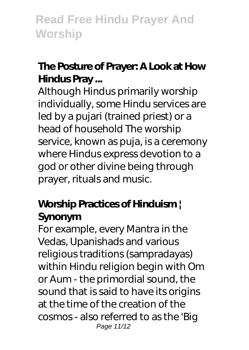# **The Posture of Prayer: A Look at How Hindus Pray ...**

Although Hindus primarily worship individually, some Hindu services are led by a pujari (trained priest) or a head of household The worship service, known as puja, is a ceremony where Hindus express devotion to a god or other divine being through prayer, rituals and music.

## **Worship Practices of Hinduism | Synonym**

For example, every Mantra in the Vedas, Upanishads and various religious traditions (sampradayas) within Hindu religion begin with Om or Aum - the primordial sound, the sound that is said to have its origins at the time of the creation of the cosmos - also referred to as the 'Big Page 11/12